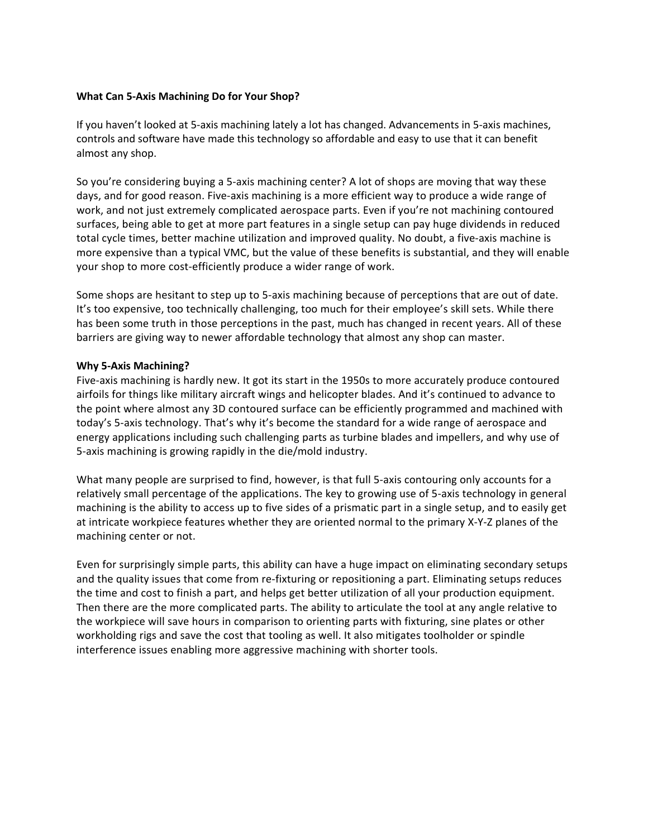# **What Can 5-Axis Machining Do for Your Shop?**

If you haven't looked at 5-axis machining lately a lot has changed. Advancements in 5-axis machines, controls and software have made this technology so affordable and easy to use that it can benefit almost any shop.

So you're considering buying a 5-axis machining center? A lot of shops are moving that way these days, and for good reason. Five-axis machining is a more efficient way to produce a wide range of work, and not just extremely complicated aerospace parts. Even if you're not machining contoured surfaces, being able to get at more part features in a single setup can pay huge dividends in reduced total cycle times, better machine utilization and improved quality. No doubt, a five-axis machine is more expensive than a typical VMC, but the value of these benefits is substantial, and they will enable your shop to more cost-efficiently produce a wider range of work.

Some shops are hesitant to step up to 5-axis machining because of perceptions that are out of date. It's too expensive, too technically challenging, too much for their employee's skill sets. While there has been some truth in those perceptions in the past, much has changed in recent years. All of these barriers are giving way to newer affordable technology that almost any shop can master.

## **Why 5-Axis Machining?**

Five-axis machining is hardly new. It got its start in the 1950s to more accurately produce contoured airfoils for things like military aircraft wings and helicopter blades. And it's continued to advance to the point where almost any 3D contoured surface can be efficiently programmed and machined with today's 5-axis technology. That's why it's become the standard for a wide range of aerospace and energy applications including such challenging parts as turbine blades and impellers, and why use of 5-axis machining is growing rapidly in the die/mold industry.

What many people are surprised to find, however, is that full 5-axis contouring only accounts for a relatively small percentage of the applications. The key to growing use of 5-axis technology in general machining is the ability to access up to five sides of a prismatic part in a single setup, and to easily get at intricate workpiece features whether they are oriented normal to the primary X-Y-Z planes of the machining center or not.

Even for surprisingly simple parts, this ability can have a huge impact on eliminating secondary setups and the quality issues that come from re-fixturing or repositioning a part. Eliminating setups reduces the time and cost to finish a part, and helps get better utilization of all your production equipment. Then there are the more complicated parts. The ability to articulate the tool at any angle relative to the workpiece will save hours in comparison to orienting parts with fixturing, sine plates or other workholding rigs and save the cost that tooling as well. It also mitigates toolholder or spindle interference issues enabling more aggressive machining with shorter tools.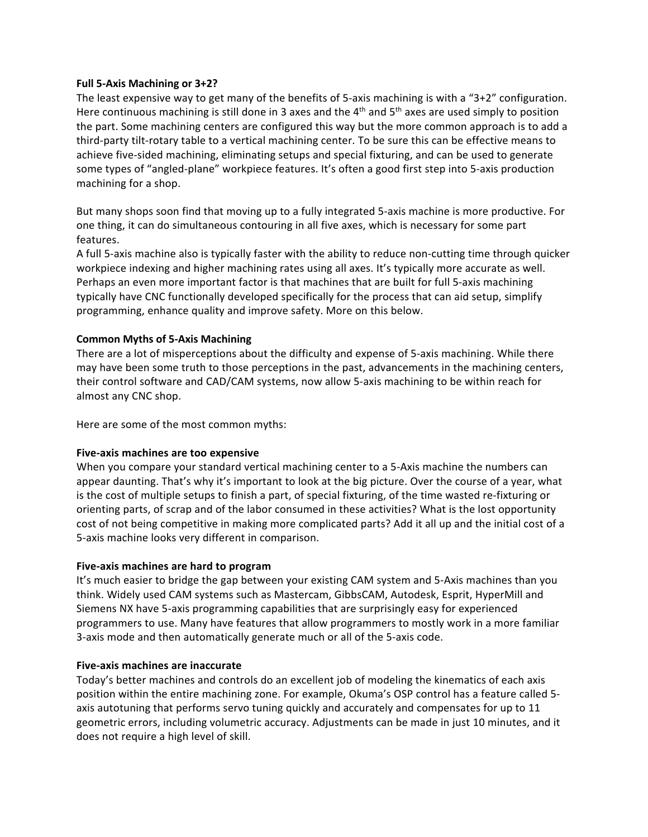## **Full 5-Axis Machining or 3+2?**

The least expensive way to get many of the benefits of 5-axis machining is with a "3+2" configuration. Here continuous machining is still done in 3 axes and the  $4<sup>th</sup>$  and  $5<sup>th</sup>$  axes are used simply to position the part. Some machining centers are configured this way but the more common approach is to add a third-party tilt-rotary table to a vertical machining center. To be sure this can be effective means to achieve five-sided machining, eliminating setups and special fixturing, and can be used to generate some types of "angled-plane" workpiece features. It's often a good first step into 5-axis production machining for a shop.

But many shops soon find that moving up to a fully integrated 5-axis machine is more productive. For one thing, it can do simultaneous contouring in all five axes, which is necessary for some part features.

A full 5-axis machine also is typically faster with the ability to reduce non-cutting time through quicker workpiece indexing and higher machining rates using all axes. It's typically more accurate as well. Perhaps an even more important factor is that machines that are built for full 5-axis machining typically have CNC functionally developed specifically for the process that can aid setup, simplify programming, enhance quality and improve safety. More on this below.

# **Common Myths of 5-Axis Machining**

There are a lot of misperceptions about the difficulty and expense of 5-axis machining. While there may have been some truth to those perceptions in the past, advancements in the machining centers, their control software and CAD/CAM systems, now allow 5-axis machining to be within reach for almost any CNC shop.

Here are some of the most common myths:

# **Five-axis machines are too expensive**

When you compare your standard vertical machining center to a 5-Axis machine the numbers can appear daunting. That's why it's important to look at the big picture. Over the course of a year, what is the cost of multiple setups to finish a part, of special fixturing, of the time wasted re-fixturing or orienting parts, of scrap and of the labor consumed in these activities? What is the lost opportunity cost of not being competitive in making more complicated parts? Add it all up and the initial cost of a 5-axis machine looks very different in comparison.

# **Five-axis machines are hard to program**

It's much easier to bridge the gap between your existing CAM system and 5-Axis machines than you think. Widely used CAM systems such as Mastercam, GibbsCAM, Autodesk, Esprit, HyperMill and Siemens NX have 5-axis programming capabilities that are surprisingly easy for experienced programmers to use. Many have features that allow programmers to mostly work in a more familiar 3-axis mode and then automatically generate much or all of the 5-axis code.

### **Five-axis machines are inaccurate**

Today's better machines and controls do an excellent job of modeling the kinematics of each axis position within the entire machining zone. For example, Okuma's OSP control has a feature called 5 axis autotuning that performs servo tuning quickly and accurately and compensates for up to 11 geometric errors, including volumetric accuracy. Adjustments can be made in just 10 minutes, and it does not require a high level of skill.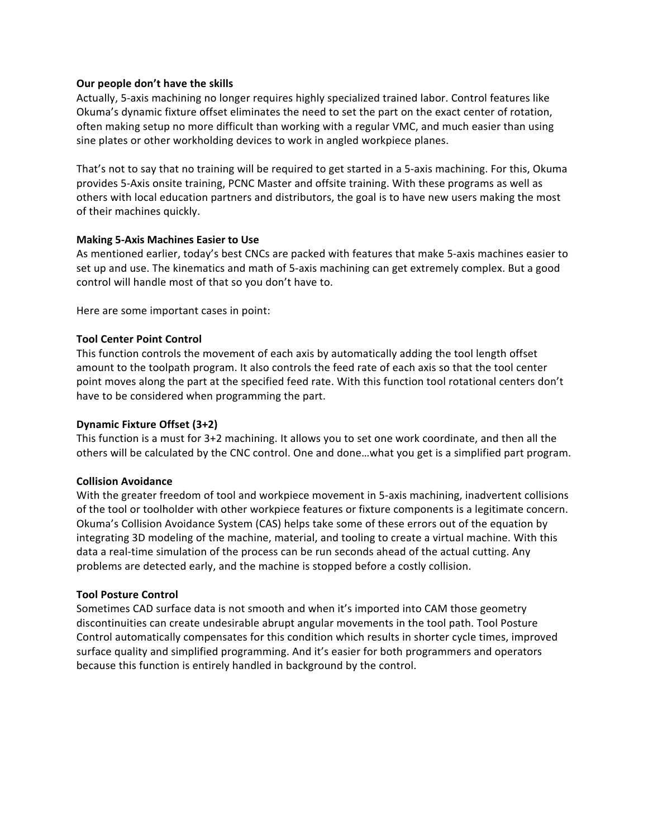## **Our people don't have the skills**

Actually, 5-axis machining no longer requires highly specialized trained labor. Control features like Okuma's dynamic fixture offset eliminates the need to set the part on the exact center of rotation, often making setup no more difficult than working with a regular VMC, and much easier than using sine plates or other workholding devices to work in angled workpiece planes.

That's not to say that no training will be required to get started in a 5-axis machining. For this, Okuma provides 5-Axis onsite training, PCNC Master and offsite training. With these programs as well as others with local education partners and distributors, the goal is to have new users making the most of their machines quickly.

## **Making 5-Axis Machines Easier to Use**

As mentioned earlier, today's best CNCs are packed with features that make 5-axis machines easier to set up and use. The kinematics and math of 5-axis machining can get extremely complex. But a good control will handle most of that so you don't have to.

Here are some important cases in point:

## **Tool Center Point Control**

This function controls the movement of each axis by automatically adding the tool length offset amount to the toolpath program. It also controls the feed rate of each axis so that the tool center point moves along the part at the specified feed rate. With this function tool rotational centers don't have to be considered when programming the part.

### **Dynamic Fixture Offset (3+2)**

This function is a must for 3+2 machining. It allows you to set one work coordinate, and then all the others will be calculated by the CNC control. One and done…what you get is a simplified part program.

### **Collision Avoidance**

With the greater freedom of tool and workpiece movement in 5-axis machining, inadvertent collisions of the tool or toolholder with other workpiece features or fixture components is a legitimate concern. Okuma's Collision Avoidance System (CAS) helps take some of these errors out of the equation by integrating 3D modeling of the machine, material, and tooling to create a virtual machine. With this data a real-time simulation of the process can be run seconds ahead of the actual cutting. Any problems are detected early, and the machine is stopped before a costly collision.

### **Tool Posture Control**

Sometimes CAD surface data is not smooth and when it's imported into CAM those geometry discontinuities can create undesirable abrupt angular movements in the tool path. Tool Posture Control automatically compensates for this condition which results in shorter cycle times, improved surface quality and simplified programming. And it's easier for both programmers and operators because this function is entirely handled in background by the control.